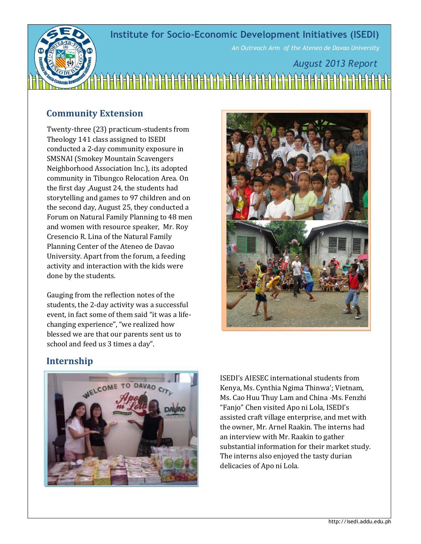## **Institute for Socio-Economic Development Initiatives (ISEDI)**



*An Outreach Arm of the Ateneo de Davao University*

# *August 2013 Report*

### **Community Extension**

Twenty-three (23) practicum-students from Theology 141 class assigned to ISEDI conducted a 2-day community exposure in SMSNAI (Smokey Mountain Scavengers Neighborhood Association Inc.), its adopted community in Tibungco Relocation Area. On the first day ,August 24, the students had storytelling and games to 97 children and on the second day, August 25, they conducted a Forum on Natural Family Planning to 48 men and women with resource speaker, Mr. Roy Cresencio R. Lina of the Natural Family Planning Center of the Ateneo de Davao University. Apart from the forum, a feeding activity and interaction with the kids were done by the students.

Gauging from the reflection notes of the students, the 2-day activity was a successful event, in fact some of them said "it was a lifechanging experience", "we realized how blessed we are that our parents sent us to school and feed us 3 times a day".



#### **Internship**



ISEDI's AIESEC international students from Kenya, Ms. Cynthia Ngima Thinwa'; Vietnam, Ms. Cao Huu Thuy Lam and China -Ms. Fenzhi "Fanjo" Chen visited Apo ni Lola, ISEDI's assisted craft village enterprise, and met with the owner, Mr. Arnel Raakin. The interns had an interview with Mr. Raakin to gather substantial information for their market study. The interns also enjoyed the tasty durian delicacies of Apo ni Lola.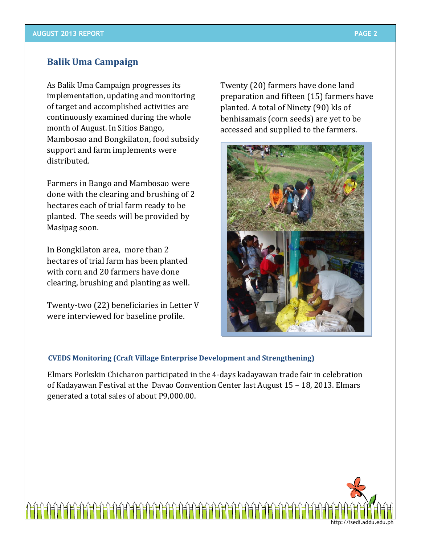#### **Balik Uma Campaign**

As Balik Uma Campaign progresses its implementation, updating and monitoring of target and accomplished activities are continuously examined during the whole month of August. In Sitios Bango, Mambosao and Bongkilaton, food subsidy support and farm implements were distributed.

Farmers in Bango and Mambosao were done with the clearing and brushing of 2 hectares each of trial farm ready to be planted. The seeds will be provided by Masipag soon.

In Bongkilaton area, more than 2 hectares of trial farm has been planted with corn and 20 farmers have done clearing, brushing and planting as well.

Twenty-two (22) beneficiaries in Letter V were interviewed for baseline profile.

Twenty (20) farmers have done land preparation and fifteen (15) farmers have planted. A total of Ninety (90) kls of benhisamais (corn seeds) are yet to be accessed and supplied to the farmers.



#### **CVEDS Monitoring (Craft Village Enterprise Development and Strengthening)**

Elmars Porkskin Chicharon participated in the 4-days kadayawan trade fair in celebration of Kadayawan Festival at the Davao Convention Center last August 15 – 18, 2013. Elmars generated a total sales of about P9,000.00.